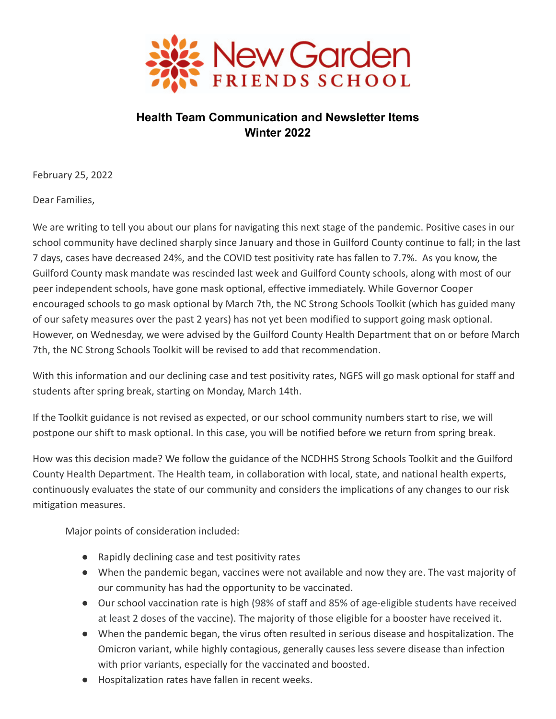

# **Health Team Communication and Newsletter Items Winter 2022**

February 25, 2022

Dear Families,

We are writing to tell you about our plans for navigating this next stage of the pandemic. Positive cases in our school community have declined sharply since January and those in Guilford County continue to fall; in the last 7 days, cases have decreased 24%, and the COVID test positivity rate has fallen to 7.7%. As you know, the Guilford County mask mandate was rescinded last week and Guilford County schools, along with most of our peer independent schools, have gone mask optional, effective immediately. While Governor Cooper encouraged schools to go mask optional by March 7th, the NC Strong Schools Toolkit (which has guided many of our safety measures over the past 2 years) has not yet been modified to support going mask optional. However, on Wednesday, we were advised by the Guilford County Health Department that on or before March 7th, the NC Strong Schools Toolkit will be revised to add that recommendation.

With this information and our declining case and test positivity rates, NGFS will go mask optional for staff and students after spring break, starting on Monday, March 14th.

If the Toolkit guidance is not revised as expected, or our school community numbers start to rise, we will postpone our shift to mask optional. In this case, you will be notified before we return from spring break.

How was this decision made? We follow the guidance of the NCDHHS Strong Schools Toolkit and the Guilford County Health Department. The Health team, in collaboration with local, state, and national health experts, continuously evaluates the state of our community and considers the implications of any changes to our risk mitigation measures.

Major points of consideration included:

- Rapidly declining case and test positivity rates
- When the pandemic began, vaccines were not available and now they are. The vast majority of our community has had the opportunity to be vaccinated.
- Our school vaccination rate is high (98% of staff and 85% of age-eligible students have received at least 2 doses of the vaccine). The majority of those eligible for a booster have received it.
- When the pandemic began, the virus often resulted in serious disease and hospitalization. The Omicron variant, while highly contagious, generally causes less severe disease than infection with prior variants, especially for the vaccinated and boosted.
- Hospitalization rates have fallen in recent weeks.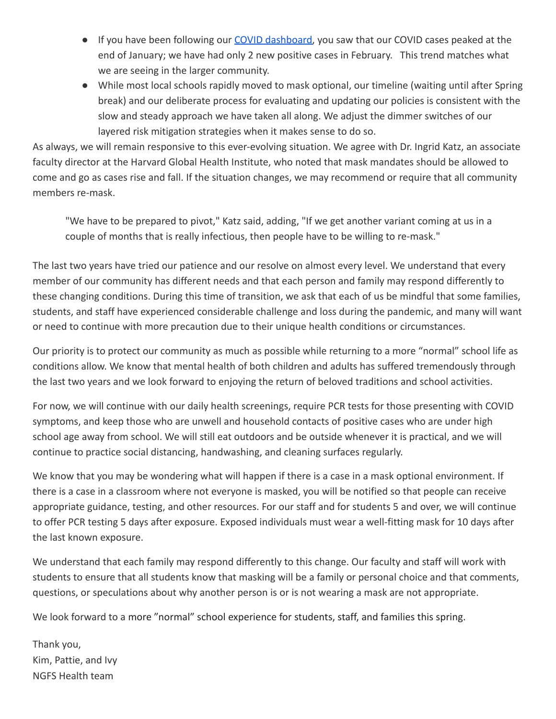- If you have been following our [COVID dashboard,](https://www.ngfs.org/admissions/2021.cfm) you saw that our COVID cases peaked at the end of January; we have had only 2 new positive cases in February. This trend matches what we are seeing in the larger community.
- While most local schools rapidly moved to mask optional, our timeline (waiting until after Spring break) and our deliberate process for evaluating and updating our policies is consistent with the slow and steady approach we have taken all along. We adjust the dimmer switches of our layered risk mitigation strategies when it makes sense to do so.

As always, we will remain responsive to this ever-evolving situation. We agree with Dr. Ingrid Katz, an associate faculty director at the Harvard Global Health Institute, who noted that mask mandates should be allowed to come and go as cases rise and fall. If the situation changes, we may recommend or require that all community members re-mask.

"We have to be prepared to pivot," Katz said, adding, "If we get another variant coming at us in a couple of months that is really infectious, then people have to be willing to re-mask."

The last two years have tried our patience and our resolve on almost every level. We understand that every member of our community has different needs and that each person and family may respond differently to these changing conditions. During this time of transition, we ask that each of us be mindful that some families, students, and staff have experienced considerable challenge and loss during the pandemic, and many will want or need to continue with more precaution due to their unique health conditions or circumstances.

Our priority is to protect our community as much as possible while returning to a more "normal" school life as conditions allow. We know that mental health of both children and adults has suffered tremendously through the last two years and we look forward to enjoying the return of beloved traditions and school activities.

For now, we will continue with our daily health screenings, require PCR tests for those presenting with COVID symptoms, and keep those who are unwell and household contacts of positive cases who are under high school age away from school. We will still eat outdoors and be outside whenever it is practical, and we will continue to practice social distancing, handwashing, and cleaning surfaces regularly.

We know that you may be wondering what will happen if there is a case in a mask optional environment. If there is a case in a classroom where not everyone is masked, you will be notified so that people can receive appropriate guidance, testing, and other resources. For our staff and for students 5 and over, we will continue to offer PCR testing 5 days after exposure. Exposed individuals must wear a well-fitting mask for 10 days after the last known exposure.

We understand that each family may respond differently to this change. Our faculty and staff will work with students to ensure that all students know that masking will be a family or personal choice and that comments, questions, or speculations about why another person is or is not wearing a mask are not appropriate.

We look forward to a more "normal" school experience for students, staff, and families this spring.

Thank you, Kim, Pattie, and Ivy NGFS Health team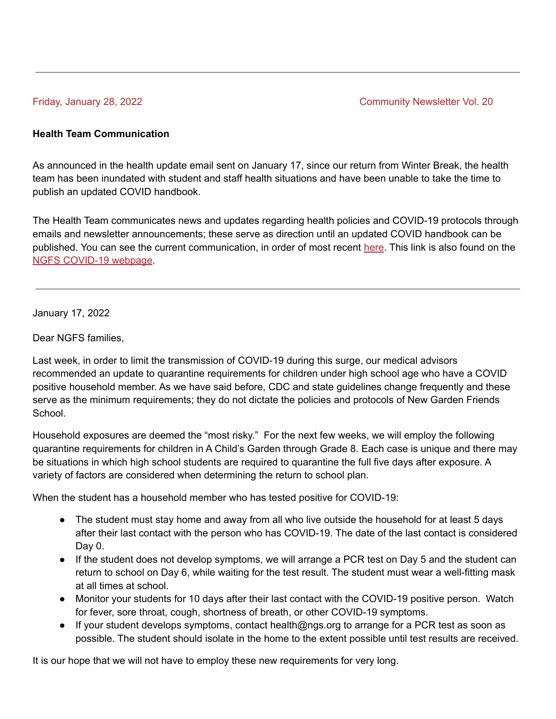Friday, January 28, 2022 **Community Newsletter Vol. 20** 

### **Health Team Communication**

As announced in the health update email sent on January 17, since our return from Winter Break, the health team has been inundated with student and staff health situations and have been unable to take the time to publish an updated COVID handbook.

The Health Team communicates news and updates regarding health policies and COVID-19 protocols through emails and newsletter announcements; these serve as direction until an updated COVID handbook can be published. You can see the current communication, in order of most recent [here.](https://www.ngfs.org/editoruploads/files/Health%2021-22/Health_Team_Communication_and_Newsletter_Items.pdf) This link is also found on the NGFS [COVID-19](https://www.ngfs.org/admissions/2021.cfm) webpage.

January 17, 2022

Dear NGFS families,

Last week, in order to limit the transmission of COVID-19 during this surge, our medical advisors recommended an update to quarantine requirements for children under high school age who have a COVID positive household member. As we have said before, CDC and state guidelines change frequently and these serve as the minimum requirements; they do not dictate the policies and protocols of New Garden Friends School.

Household exposures are deemed the "most risky." For the next few weeks, we will employ the following quarantine requirements for children in A Child's Garden through Grade 8. Each case is unique and there may be situations in which high school students are required to quarantine the full five days after exposure. A variety of factors are considered when determining the return to school plan.

When the student has a household member who has tested positive for COVID-19:

- The student must stay home and away from all who live outside the household for at least 5 days after their last contact with the person who has COVID-19. The date of the last contact is considered Day 0.
- If the student does not develop symptoms, we will arrange a PCR test on Day 5 and the student can return to school on Day 6, while waiting for the test result. The student must wear a well-fitting mask at all times at school.
- Monitor your students for 10 days after their last contact with the COVID-19 positive person. Watch for fever, sore throat, cough, shortness of breath, or other [COVID-19](https://www.cdc.gov/coronavirus/2019-ncov/symptoms-testing/symptoms.html) symptoms.
- If your student develops symptoms, contact health@ngs.org to arrange for a PCR test as soon as possible. The student should isolate in the home to the extent possible until test results are received.

It is our hope that we will not have to employ these new requirements for very long.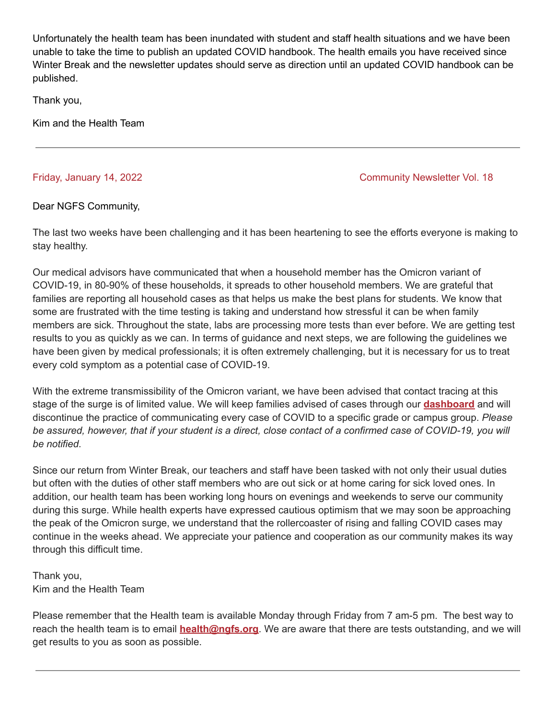Unfortunately the health team has been inundated with student and staff health situations and we have been unable to take the time to publish an updated COVID handbook. The health emails you have received since Winter Break and the newsletter updates should serve as direction until an updated COVID handbook can be published.

Thank you,

Kim and the Health Team

## Friday, January 14, 2022 **Community Newsletter Vol. 18**

## Dear NGFS Community,

The last two weeks have been challenging and it has been heartening to see the efforts everyone is making to stay healthy.

Our medical advisors have communicated that when a household member has the Omicron variant of COVID-19, in 80-90% of these households, it spreads to other household members. We are grateful that families are reporting all household cases as that helps us make the best plans for students. We know that some are frustrated with the time testing is taking and understand how stressful it can be when family members are sick. Throughout the state, labs are processing more tests than ever before. We are getting test results to you as quickly as we can. In terms of guidance and next steps, we are following the guidelines we have been given by medical professionals; it is often extremely challenging, but it is necessary for us to treat every cold symptom as a potential case of COVID-19.

With the extreme transmissibility of the Omicron variant, we have been advised that contact tracing at this stage of the surge is of limited value. We will keep families advised of cases through our **[dashboard](https://www.ngfs.org/admissions/2021.cfm)** and will discontinue the practice of communicating every case of COVID to a specific grade or campus group. *Please* be assured, however, that if your student is a direct, close contact of a confirmed case of COVID-19, you will *be notified.*

Since our return from Winter Break, our teachers and staff have been tasked with not only their usual duties but often with the duties of other staff members who are out sick or at home caring for sick loved ones. In addition, our health team has been working long hours on evenings and weekends to serve our community during this surge. While health experts have expressed cautious optimism that we may soon be approaching the peak of the Omicron surge, we understand that the rollercoaster of rising and falling COVID cases may continue in the weeks ahead. We appreciate your patience and cooperation as our community makes its way through this difficult time.

Thank you, Kim and the Health Team

Please remember that the Health team is available Monday through Friday from 7 am-5 pm. The best way to reach the health team is to email **[health@ngfs.org](mailto:health@ngfs.org)**. We are aware that there are tests outstanding, and we will get results to you as soon as possible.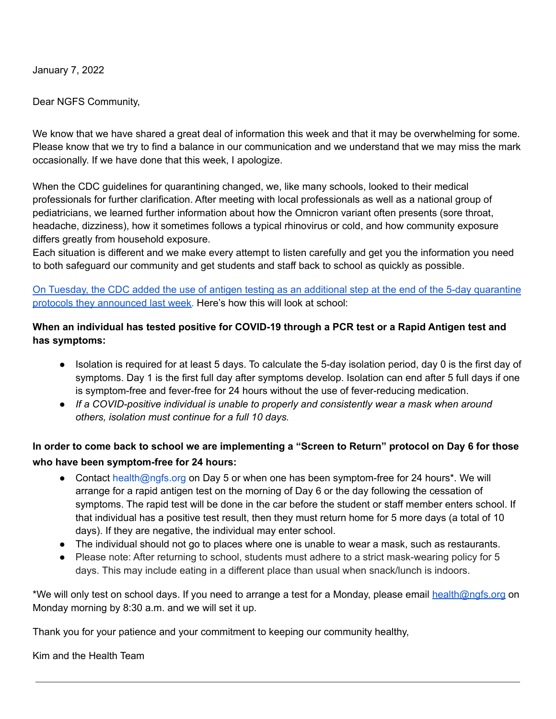January 7, 2022

Dear NGFS Community,

We know that we have shared a great deal of information this week and that it may be overwhelming for some. Please know that we try to find a balance in our communication and we understand that we may miss the mark occasionally. If we have done that this week, I apologize.

When the CDC guidelines for quarantining changed, we, like many schools, looked to their medical professionals for further clarification. After meeting with local professionals as well as a national group of pediatricians, we learned further information about how the Omnicron variant often presents (sore throat, headache, dizziness), how it sometimes follows a typical rhinovirus or cold, and how community exposure differs greatly from household exposure.

Each situation is different and we make every attempt to listen carefully and get you the information you need to both safeguard our community and get students and staff back to school as quickly as possible.

On Tuesday, the CDC added the use of antigen testing as an additional step at the end of the 5-day [quarantine](https://www.cdc.gov/coronavirus/2019-ncov/your-health/quarantine-isolation.html) protocols they [announced](https://www.cdc.gov/coronavirus/2019-ncov/your-health/quarantine-isolation.html) last week. Here's how this will look at school:

# **When an individual has tested positive for COVID-19 through a PCR test or a Rapid Antigen test and has symptoms:**

- Isolation is required for at least 5 days. To calculate the 5-day isolation period, day 0 is the first day of symptoms. Day 1 is the first full day after symptoms develop. Isolation can end after 5 full days if one is symptom-free and fever-free for 24 hours without the use of fever-reducing medication.
- *● If a COVID-positive individual is unable to properly and consistently wear a mask when around others, isolation must continue for a full 10 days.*

# In order to come back to school we are implementing a "Screen to Return" protocol on Day 6 for those **who have been symptom-free for 24 hours:**

- Contact health@ngfs.org on Day 5 or when one has been symptom-free for 24 hours\*. We will arrange for a rapid antigen test on the morning of Day 6 or the day following the cessation of symptoms. The rapid test will be done in the car before the student or staff member enters school. If that individual has a positive test result, then they must return home for 5 more days (a total of 10 days). If they are negative, the individual may enter school.
- The individual should not go to places where one is unable to wear a mask, such as restaurants.
- Please note: After returning to school, students must adhere to a strict mask-wearing policy for 5 days. This may include eating in a different place than usual when snack/lunch is indoors.

\*We will only test on school days. If you need to arrange a test for a Monday, please email health@ngfs.org on Monday morning by 8:30 a.m. and we will set it up.

Thank you for your patience and your commitment to keeping our community healthy,

Kim and the Health Team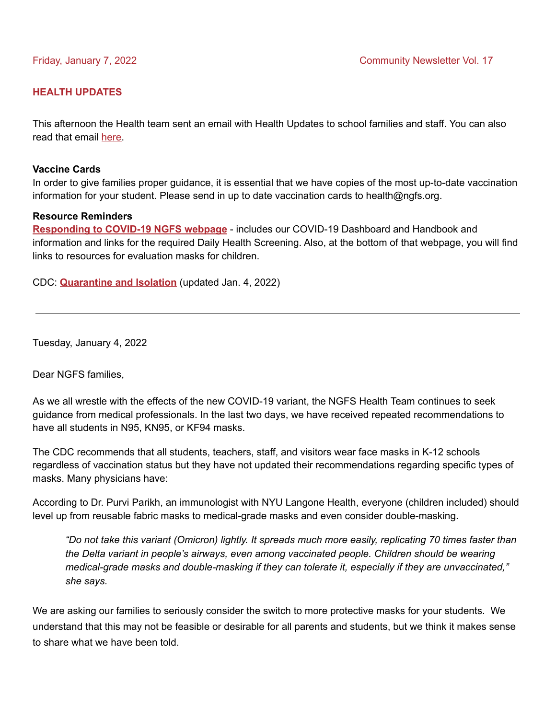### **HEALTH UPDATES**

This afternoon the Health team sent an email with Health Updates to school families and staff. You can also read that email [here.](https://www.ngfs.org/editoruploads/files/Health%2021-22/Covid_letter_1_7_22.pdf)

#### **Vaccine Cards**

In order to give families proper guidance, it is essential that we have copies of the most up-to-date vaccination information for your student. Please send in up to date vaccination cards to health@ngfs.org.

#### **Resource Reminders**

**[Responding](https://www.ngfs.org/admissions/2021.cfm) to COVID-19 NGFS webpage** - includes our COVID-19 Dashboard and Handbook and information and links for the required Daily Health Screening. Also, at the bottom of that webpage, you will find links to resources for evaluation masks for children.

CDC: **[Quarantine](https://www.cdc.gov/coronavirus/2019-ncov/your-health/quarantine-isolation.html) and Isolation** (updated Jan. 4, 2022)

Tuesday, January 4, 2022

Dear NGFS families,

As we all wrestle with the effects of the new COVID-19 variant, the NGFS Health Team continues to seek guidance from medical professionals. In the last two days, we have received repeated recommendations to have all students in N95, KN95, or KF94 masks.

The CDC recommends that all students, teachers, staff, and visitors wear face masks in K-12 schools regardless of vaccination status but they have not updated their recommendations regarding specific types of masks. Many physicians have:

According to Dr. Purvi Parikh, an immunologist with NYU Langone Health, everyone (children included) should level up from reusable fabric masks to medical-grade masks and even consider [double-masking](https://nymag.com/strategist/article/how-to-double-mask-to-stop-covid.html).

"Do not take this variant (Omicron) lightly. It spreads much more easily, replicating 70 times [faster](https://www.the-scientist.com/news-opinion/omicron-propagates-70-times-faster-than-delta-in-bronchi-study-69540) than *the Delta variant in people's airways, even among vaccinated people. Children should be wearing medical-grade masks and double-masking if they can tolerate it, especially if they are unvaccinated," she says.*

We are asking our families to seriously consider the switch to more protective masks for your students. We understand that this may not be feasible or desirable for all parents and students, but we think it makes sense to share what we have been told.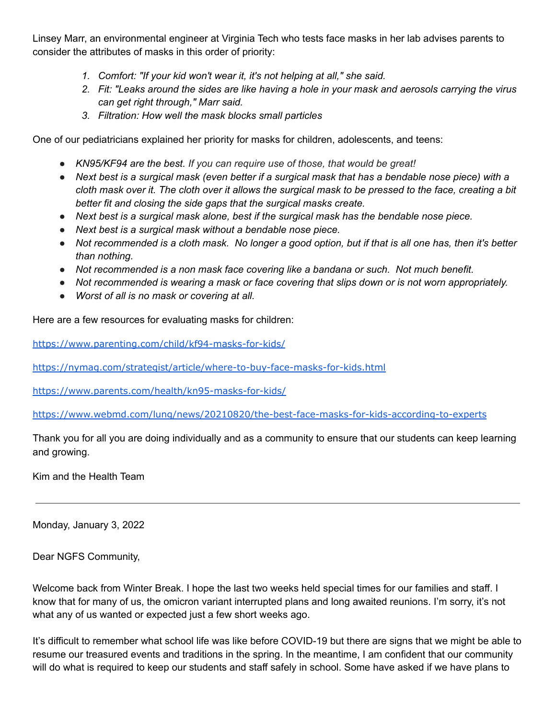Linsey Marr, an environmental engineer at Virginia Tech who tests face masks in her lab advises parents to consider the attributes of masks in this order of priority:

- *1. Comfort: "If your kid won't wear it, it's not helping at all," she said.*
- 2. Fit: "Leaks around the sides are like having a hole in your mask and aerosols carrying the virus *can get right through," Marr said.*
- *3. Filtration: How well the mask blocks small particles*

One of our pediatricians explained her priority for masks for children, adolescents, and teens:

- *● KN95/KF94 are the best. If you can require use of those, that would be great!*
- Next best is a surgical mask (even better if a surgical mask that has a bendable nose piece) with a cloth mask over it. The cloth over it allows the surgical mask to be pressed to the face, creating a bit *better fit and closing the side gaps that the surgical masks create.*
- *● Next best is a surgical mask alone, best if the surgical mask has the bendable nose piece.*
- *● Next best is a surgical mask without a bendable nose piece.*
- Not recommended is a cloth mask. No longer a good option, but if that is all one has, then it's better *than nothing.*
- *● Not recommended is a non mask face covering like a bandana or such. Not much benefit.*
- *● Not recommended is wearing a mask or face covering that slips down or is not worn appropriately.*
- *● Worst of all is no mask or covering at all.*

Here are a few resources for evaluating masks for children:

<https://www.parenting.com/child/kf94-masks-for-kids/>

<https://nymag.com/strategist/article/where-to-buy-face-masks-for-kids.html>

<https://www.parents.com/health/kn95-masks-for-kids/>

<https://www.webmd.com/lung/news/20210820/the-best-face-masks-for-kids-according-to-experts>

Thank you for all you are doing individually and as a community to ensure that our students can keep learning and growing.

Kim and the Health Team

Monday, January 3, 2022

Dear NGFS Community,

Welcome back from Winter Break. I hope the last two weeks held special times for our families and staff. I know that for many of us, the omicron variant interrupted plans and long awaited reunions. I'm sorry, it's not what any of us wanted or expected just a few short weeks ago.

It's difficult to remember what school life was like before COVID-19 but there are signs that we might be able to resume our treasured events and traditions in the spring. In the meantime, I am confident that our community will do what is required to keep our students and staff safely in school. Some have asked if we have plans to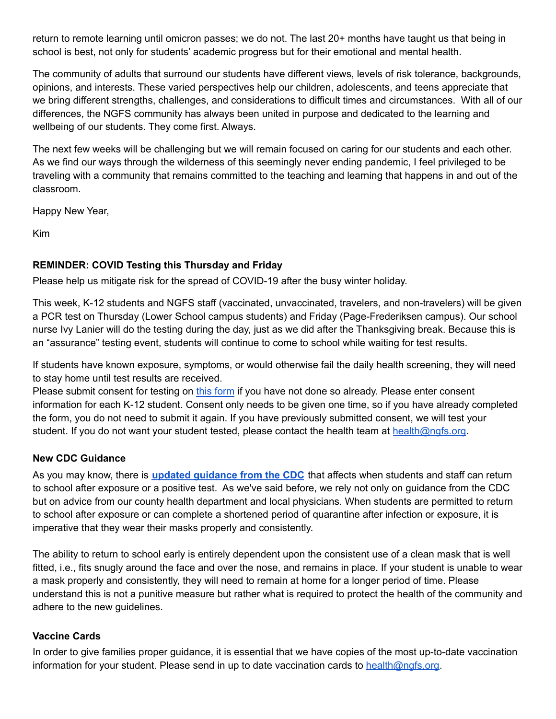return to remote learning until omicron passes; we do not. The last 20+ months have taught us that being in school is best, not only for students' academic progress but for their emotional and mental health.

The community of adults that surround our students have different views, levels of risk tolerance, backgrounds, opinions, and interests. These varied perspectives help our children, adolescents, and teens appreciate that we bring different strengths, challenges, and considerations to difficult times and circumstances. With all of our differences, the NGFS community has always been united in purpose and dedicated to the learning and wellbeing of our students. They come first. Always.

The next few weeks will be challenging but we will remain focused on caring for our students and each other. As we find our ways through the wilderness of this seemingly never ending pandemic, I feel privileged to be traveling with a community that remains committed to the teaching and learning that happens in and out of the classroom.

Happy New Year,

Kim

# **REMINDER: COVID Testing this Thursday and Friday**

Please help us mitigate risk for the spread of COVID-19 after the busy winter holiday.

This week, K-12 students and NGFS staff (vaccinated, unvaccinated, travelers, and non-travelers) will be given a PCR test on Thursday (Lower School campus students) and Friday (Page-Frederiksen campus). Our school nurse Ivy Lanier will do the testing during the day, just as we did after the Thanksgiving break. Because this is an "assurance" testing event, students will continue to come to school while waiting for test results.

If students have known exposure, symptoms, or would otherwise fail the daily health screening, they will need to stay home until test results are received.

Please submit consent for testing on this [form](https://forms.gle/bHmdTbEtPf2nty7B6) if you have not done so already. Please enter consent information for each K-12 student. Consent only needs to be given one time, so if you have already completed the form, you do not need to submit it again. If you have previously submitted consent, we will test your student. If you do not want your student tested, please contact the health team at health@ngfs.org.

# **New CDC Guidance**

As you may know, there is **updated [guidance](https://www.cdc.gov/media/releases/2021/s1227-isolation-quarantine-guidance.html) from the CDC** that affects when students and staff can return to school after exposure or a positive test. As we've said before, we rely not only on guidance from the CDC but on advice from our county health department and local physicians. When students are permitted to return to school after exposure or can complete a shortened period of quarantine after infection or exposure, it is imperative that they wear their masks properly and consistently.

The ability to return to school early is entirely dependent upon the consistent use of a clean mask that is well fitted, i.e., fits snugly around the face and over the nose, and remains in place. If your student is unable to wear a mask properly and consistently, they will need to remain at home for a longer period of time. Please understand this is not a punitive measure but rather what is required to protect the health of the community and adhere to the new guidelines.

# **Vaccine Cards**

In order to give families proper guidance, it is essential that we have copies of the most up-to-date vaccination information for your student. Please send in up to date vaccination cards to health@ngfs.org.